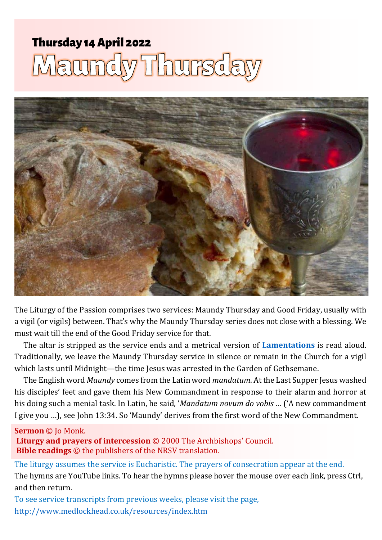# Thursday 14 April 2022<u>y Thursday</u>



The Liturgy of the Passion comprises two services: Maundy Thursday and Good Friday, usually with a vigil (or vigils) between. That's why the Maundy Thursday series does not close with a blessing. We must wait till the end of the Good Friday service for that.

The altar is stripped as the service ends and a metrical version of **[Lamentations](https://www.biblegateway.com/passage/?search=Lamentations+1&version=NRSV)** is read aloud. Traditionally, we leave the Maundy Thursday service in silence or remain in the Church for a vigil which lasts until Midnight—the time Jesus was arrested in the Garden of Gethsemane.

The English word *Maundy* comes from the Latin word *mandatum*. At the Last Supper Jesus washed his disciples' feet and gave them his New Commandment in response to their alarm and horror at his doing such a menial task. In Latin, he said, '*Mandatum novum do vobis …* ('A new commandment I give you …), see John 13:34. So 'Maundy' derives from the first word of the New Commandment.

#### **Sermon** © Jo Monk.

**Liturgy and prayers of intercession** © 2000 The Archbishops' Council. **Bible readings** © the publishers of the NRSV translation.

The liturgy assumes the service is Eucharistic. The prayers of consecration appear at the end. The hymns are YouTube links. To hear the hymns please hover the mouse over each link, press Ctrl, and then return.

To see service transcripts from previous weeks, please visit the page, <http://www.medlockhead.co.uk/resources/index.htm>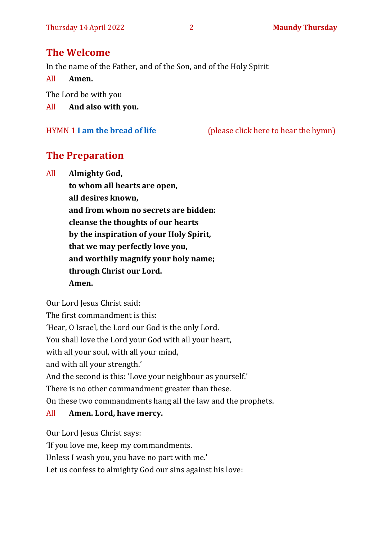#### **The Welcome**

In the name of the Father, and of the Son, and of the Holy Spirit

All **Amen.**

The Lord be with you

All **And also with you.**

#### HYMN 1 **[I am the bread of life](https://youtu.be/YptXBkDOUmY)** (please click here to hear the hymn)

### **The Preparation**

All **Almighty God, to whom all hearts are open, all desires known, and from whom no secrets are hidden: cleanse the thoughts of our hearts by the inspiration of your Holy Spirit, that we may perfectly love you, and worthily magnify your holy name; through Christ our Lord. Amen.**

Our Lord Jesus Christ said:

The first commandment is this:

'Hear, O Israel, the Lord our God is the only Lord.

You shall love the Lord your God with all your heart,

with all your soul, with all your mind,

and with all your strength.'

And the second is this: 'Love your neighbour as yourself.'

There is no other commandment greater than these.

On these two commandments hang all the law and the prophets.

#### All **Amen. Lord, have mercy.**

Our Lord Jesus Christ says:

'If you love me, keep my commandments.

Unless I wash you, you have no part with me.'

Let us confess to almighty God our sins against his love: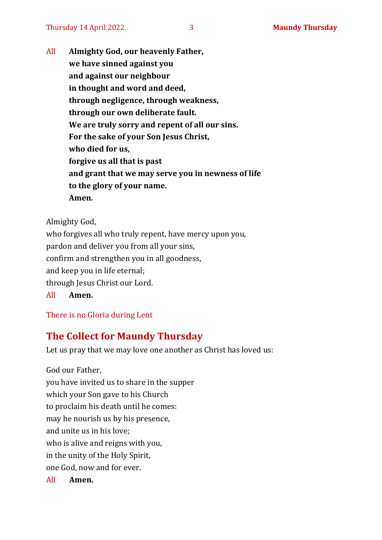All **Almighty God, our heavenly Father, we have sinned against you and against our neighbour in thought and word and deed, through negligence, through weakness, through our own deliberate fault. We are truly sorry and repent of all our sins. For the sake of your Son Jesus Christ, who died for us, forgive us all that is past and grant that we may serve you in newness of life to the glory of your name. Amen.**

Almighty God,

who forgives all who truly repent, have mercy upon you, pardon and deliver you from all your sins, confirm and strengthen you in all goodness, and keep you in life eternal; through Jesus Christ our Lord. All **Amen.**

There is no Gloria during Lent

#### **The Collect for Maundy Thursday**

Let us pray that we may love one another as Christ has loved us:

God our Father, you have invited us to share in the supper which your Son gave to his Church to proclaim his death until he comes: may he nourish us by his presence, and unite us in his love; who is alive and reigns with you, in the unity of the Holy Spirit, one God, now and for ever.

All **Amen.**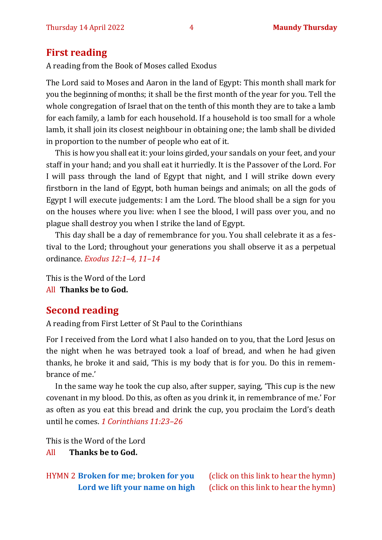#### **First reading**

A reading from the Book of Moses called Exodus

The Lord said to Moses and Aaron in the land of Egypt: This month shall mark for you the beginning of months; it shall be the first month of the year for you. Tell the whole congregation of Israel that on the tenth of this month they are to take a lamb for each family, a lamb for each household. If a household is too small for a whole lamb, it shall join its closest neighbour in obtaining one; the lamb shall be divided in proportion to the number of people who eat of it.

This is how you shall eat it: your loins girded, your sandals on your feet, and your staff in your hand; and you shall eat it hurriedly. It is the Passover of the Lord. For I will pass through the land of Egypt that night, and I will strike down every firstborn in the land of Egypt, both human beings and animals; on all the gods of Egypt I will execute judgements: I am the Lord. The blood shall be a sign for you on the houses where you live: when I see the blood, I will pass over you, and no plague shall destroy you when I strike the land of Egypt.

This day shall be a day of remembrance for you. You shall celebrate it as a festival to the Lord; throughout your generations you shall observe it as a perpetual ordinance. *Exodus 12:1–4, 11–14*

This is the Word of the Lord All **Thanks be to God.**

#### **Second reading**

A reading from First Letter of St Paul to the Corinthians

For I received from the Lord what I also handed on to you, that the Lord Jesus on the night when he was betrayed took a loaf of bread, and when he had given thanks, he broke it and said, 'This is my body that is for you. Do this in remembrance of me.'

In the same way he took the cup also, after supper, saying, 'This cup is the new covenant in my blood. Do this, as often as you drink it, in remembrance of me.' For as often as you eat this bread and drink the cup, you proclaim the Lord's death until he comes. *1 Corinthians 11:23–26*

This is the Word of the Lord

All **Thanks be to God.**

HYMN 2 **[Broken for me; broken for you](https://youtu.be/I31lNuvYBWQ)** (click on this link to hear the hymn)

[Lord we lift your name on high](https://youtu.be/zVqWEtfpTgo) (click on this link to hear the hymn)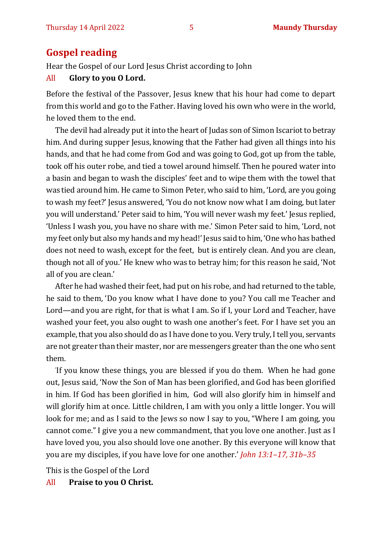#### **Gospel reading**

Hear the Gospel of our Lord Jesus Christ according to John

#### All **Glory to you O Lord.**

Before the festival of the Passover, Jesus knew that his hour had come to depart from this world and go to the Father. Having loved his own who were in the world, he loved them to the end.

The devil had already put it into the heart of Judas son of Simon Iscariot to betray him. And during supper Jesus, knowing that the Father had given all things into his hands, and that he had come from God and was going to God, got up from the table[,](javascript:void(0);) took off his outer robe, and tied a towel around himself. Then he poured water into a basin and began to wash the disciples' feet and to wipe them with the towel that was tied around him. He came to Simon Peter, who said to him, 'Lord, are you going to wash my feet?' Jesus answered, 'You do not know now what I am doing, but later you will understand.' Peter said to him, 'You will never wash my feet.' Jesus replied, 'Unless I wash you, you have no share with me.' Simon Peter said to him, 'Lord, not my feet only but also my hands and my head!' Jesus said to him, 'One who has bathed does not need to wash, except for the feet[,](javascript:void(0);) but is entirely clean. And you are clean, though not all of you.' He knew who was to betray him; for this reason he said, 'Not all of you are clean.'

After he had washed their feet, had put on his robe, and had returned to the table, he said to them, 'Do you know what I have done to you? You call me Teacher and Lord—and you are right, for that is what I am. So if I, your Lord and Teacher, have washed your feet, you also ought to wash one another's feet. For I have set you an example, that you also should do as I have done to you. Very truly, I tell you, servant[s](javascript:void(0);) are not greater than their master, nor are messengers greater than the one who sent them.

'If you know these things, you are blessed if you do them. When he had gone out, Jesus said, 'Now the Son of Man has been glorified, and God has been glorified in him. If God has been glorified in him[,](javascript:void(0);) God will also glorify him in himself and will glorify him at once. Little children, I am with you only a little longer. You will look for me; and as I said to the Jews so now I say to you, "Where I am going, you cannot come." I give you a new commandment, that you love one another. Just as I have loved you, you also should love one another. By this everyone will know that you are my disciples, if you have love for one another.' *John 13:1–17, 31b–35*

This is the Gospel of the Lord

All **Praise to you O Christ.**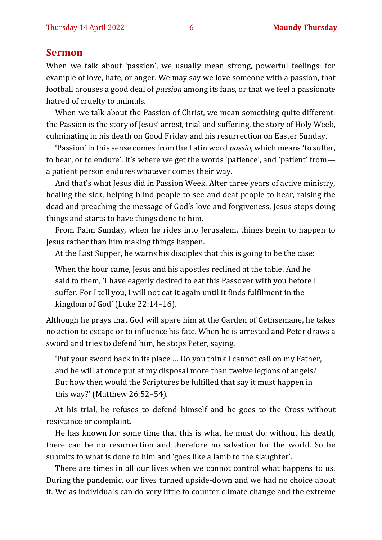#### **Sermon**

When we talk about 'passion', we usually mean strong, powerful feelings: for example of love, hate, or anger. We may say we love someone with a passion, that football arouses a good deal of *passion* among its fans, or that we feel a passionate hatred of cruelty to animals.

When we talk about the Passion of Christ, we mean something quite different: the Passion is the story of Jesus' arrest, trial and suffering, the story of Holy Week, culminating in his death on Good Friday and his resurrection on Easter Sunday.

'Passion' in this sense comes from the Latin word *passio*, which means 'to suffer, to bear, or to endure'. It's where we get the words 'patience', and 'patient' from a patient person endures whatever comes their way.

And that's what Jesus did in Passion Week. After three years of active ministry, healing the sick, helping blind people to see and deaf people to hear, raising the dead and preaching the message of God's love and forgiveness, Jesus stops doing things and starts to have things done to him.

From Palm Sunday, when he rides into Jerusalem, things begin to happen to Jesus rather than him making things happen.

At the Last Supper, he warns his disciples that this is going to be the case:

When the hour came, Jesus and his apostles reclined at the table. And he said to them, 'I have eagerly desired to eat this Passover with you before I suffer. For I tell you, I will not eat it again until it finds fulfilment in the kingdom of God' (Luke 22:14–16).

Although he prays that God will spare him at the Garden of Gethsemane, he takes no action to escape or to influence his fate. When he is arrested and Peter draws a sword and tries to defend him, he stops Peter, saying,

'Put your sword back in its place … Do you think I cannot call on my Father, and he will at once put at my disposal more than twelve legions of angels? But how then would the Scriptures be fulfilled that say it must happen in this way?' (Matthew 26:52–54).

At his trial, he refuses to defend himself and he goes to the Cross without resistance or complaint.

He has known for some time that this is what he must do: without his death, there can be no resurrection and therefore no salvation for the world. So he submits to what is done to him and 'goes like a lamb to the slaughter'.

There are times in all our lives when we cannot control what happens to us. During the pandemic, our lives turned upside-down and we had no choice about it. We as individuals can do very little to counter climate change and the extreme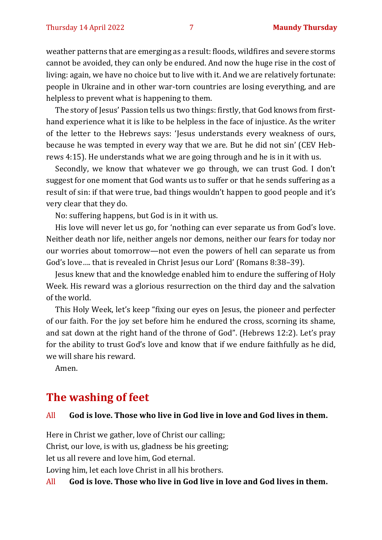weather patterns that are emerging as a result: floods, wildfires and severe storms cannot be avoided, they can only be endured. And now the huge rise in the cost of living: again, we have no choice but to live with it. And we are relatively fortunate: people in Ukraine and in other war-torn countries are losing everything, and are helpless to prevent what is happening to them.

The story of Jesus' Passion tells us two things: firstly, that God knows from firsthand experience what it is like to be helpless in the face of injustice. As the writer of the letter to the Hebrews says: 'Jesus understands every weakness of ours, because he was tempted in every way that we are. But he did not sin' (CEV Hebrews 4:15). He understands what we are going through and he is in it with us.

Secondly, we know that whatever we go through, we can trust God. I don't suggest for one moment that God wants us to suffer or that he sends suffering as a result of sin: if that were true, bad things wouldn't happen to good people and it's very clear that they do.

No: suffering happens, but God is in it with us.

His love will never let us go, for 'nothing can ever separate us from God's love. Neither death nor life, neither angels nor demons, neither our fears for today nor our worries about tomorrow—not even the powers of hell can separate us from God's love…. that is revealed in Christ Jesus our Lord' (Romans 8:38–39).

Jesus knew that and the knowledge enabled him to endure the suffering of Holy Week. His reward was a glorious resurrection on the third day and the salvation of the world.

This Holy Week, let's keep "fixing our eyes on Jesus, the pioneer and perfecter of our faith. For the joy set before him he endured the cross, scorning its shame, and sat down at the right hand of the throne of God". (Hebrews 12:2). Let's pray for the ability to trust God's love and know that if we endure faithfully as he did, we will share his reward.

Amen.

#### **The washing of feet**

#### All **God is love. Those who live in God live in love and God lives in them.**

Here in Christ we gather, love of Christ our calling; Christ, our love, is with us, gladness be his greeting; let us all revere and love him, God eternal. Loving him, let each love Christ in all his brothers.

All **God is love. Those who live in God live in love and God lives in them.**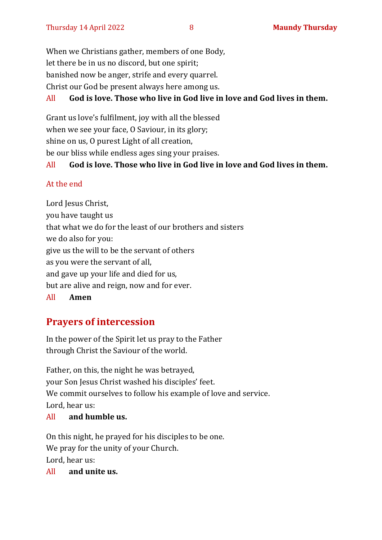When we Christians gather, members of one Body,

let there be in us no discord, but one spirit;

banished now be anger, strife and every quarrel.

Christ our God be present always here among us.

#### All **God is love. Those who live in God live in love and God lives in them.**

Grant us love's fulfilment, joy with all the blessed when we see your face, O Saviour, in its glory; shine on us, O purest Light of all creation, be our bliss while endless ages sing your praises.

#### All **God is love. Those who live in God live in love and God lives in them.**

#### At the end

Lord Jesus Christ, you have taught us that what we do for the least of our brothers and sisters we do also for you: give us the will to be the servant of others as you were the servant of all, and gave up your life and died for us, but are alive and reign, now and for ever. All **Amen**

#### **Prayers of intercession**

In the power of the Spirit let us pray to the Father through Christ the Saviour of the world.

Father, on this, the night he was betrayed, your Son Jesus Christ washed his disciples' feet. We commit ourselves to follow his example of love and service. Lord, hear us:

All **and humble us.**

On this night, he prayed for his disciples to be one. We pray for the unity of your Church. Lord, hear us:

All **and unite us.**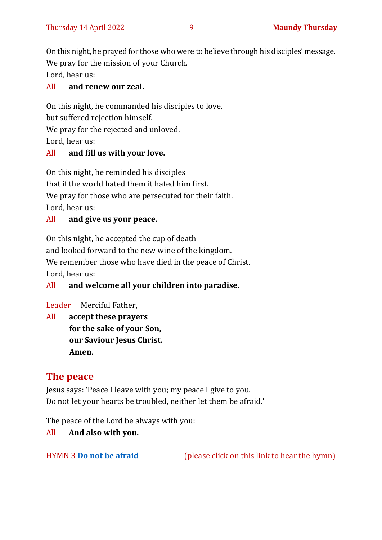On this night, he prayed for those who were to believe through his disciples' message. We pray for the mission of your Church. Lord, hear us:

#### All **and renew our zeal.**

On this night, he commanded his disciples to love, but suffered rejection himself. We pray for the rejected and unloved. Lord, hear us:

#### All **and fill us with your love.**

On this night, he reminded his disciples that if the world hated them it hated him first. We pray for those who are persecuted for their faith. Lord, hear us:

#### All **and give us your peace.**

On this night, he accepted the cup of death and looked forward to the new wine of the kingdom. We remember those who have died in the peace of Christ. Lord, hear us:

#### All **and welcome all your children into paradise.**

Leader Merciful Father,

All **accept these prayers for the sake of your Son, our Saviour Jesus Christ. Amen.**

#### **The peace**

Jesus says: 'Peace I leave with you; my peace I give to you. Do not let your hearts be troubled, neither let them be afraid.'

The peace of the Lord be always with you:

#### All **And also with you.**

HYMN 3 **[Do not be afraid](https://youtu.be/v2rO0LhSWJ0)** (please click on this link to hear the hymn)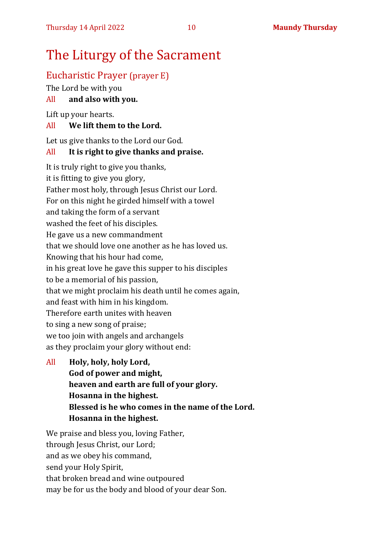## The Liturgy of the Sacrament

#### Eucharistic Prayer (prayer E)

The Lord be with you

#### All **and also with you.**

Lift up your hearts.

#### All **We lift them to the Lord.**

Let us give thanks to the Lord our God.

#### All **It is right to give thanks and praise.**

It is truly right to give you thanks, it is fitting to give you glory, Father most holy, through Jesus Christ our Lord. For on this night he girded himself with a towel and taking the form of a servant washed the feet of his disciples. He gave us a new commandment that we should love one another as he has loved us. Knowing that his hour had come, in his great love he gave this supper to his disciples to be a memorial of his passion, that we might proclaim his death until he comes again, and feast with him in his kingdom. Therefore earth unites with heaven to sing a new song of praise; we too join with angels and archangels as they proclaim your glory without end:

All **Holy, holy, holy Lord, God of power and might, heaven and earth are full of your glory. Hosanna in the highest. Blessed is he who comes in the name of the Lord. Hosanna in the highest.**

We praise and bless you, loving Father, through Jesus Christ, our Lord; and as we obey his command, send your Holy Spirit, that broken bread and wine outpoured may be for us the body and blood of your dear Son.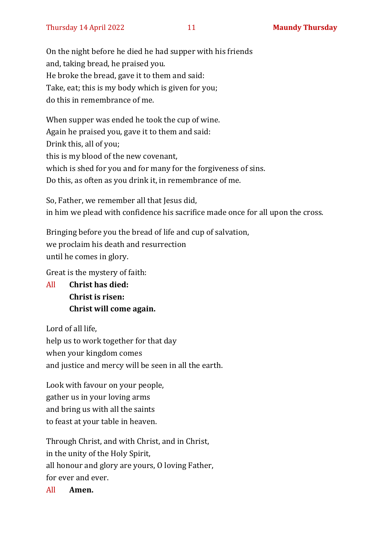On the night before he died he had supper with his friends and, taking bread, he praised you. He broke the bread, gave it to them and said: Take, eat; this is my body which is given for you; do this in remembrance of me.

When supper was ended he took the cup of wine. Again he praised you, gave it to them and said: Drink this, all of you; this is my blood of the new covenant, which is shed for you and for many for the forgiveness of sins. Do this, as often as you drink it, in remembrance of me.

So, Father, we remember all that Jesus did, in him we plead with confidence his sacrifice made once for all upon the cross.

Bringing before you the bread of life and cup of salvation, we proclaim his death and resurrection until he comes in glory.

Great is the mystery of faith:

All **Christ has died: Christ is risen: Christ will come again.**

Lord of all life,

help us to work together for that day when your kingdom comes and justice and mercy will be seen in all the earth.

Look with favour on your people, gather us in your loving arms and bring us with all the saints to feast at your table in heaven.

Through Christ, and with Christ, and in Christ, in the unity of the Holy Spirit, all honour and glory are yours, O loving Father, for ever and ever.

All **Amen.**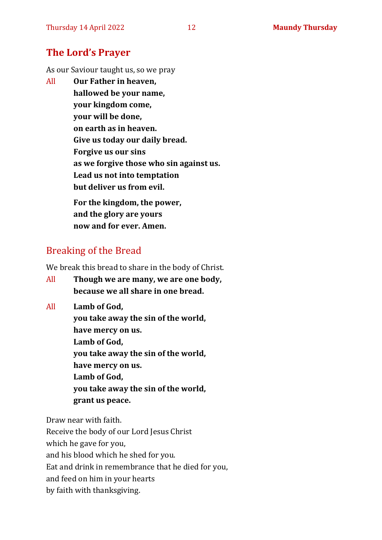#### **The Lord's Prayer**

As our Saviour taught us, so we pray

All **Our Father in heaven, hallowed be your name, your kingdom come, your will be done, on earth as in heaven. Give us today our daily bread. Forgive us our sins as we forgive those who sin against us. Lead us not into temptation but deliver us from evil.**

**For the kingdom, the power, and the glory are yours now and for ever. Amen.**

#### Breaking of the Bread

We break this bread to share in the body of Christ.

All **Though we are many, we are one body, because we all share in one bread.**

All **Lamb of God, you take away the sin of the world, have mercy on us. Lamb of God, you take away the sin of the world, have mercy on us. Lamb of God, you take away the sin of the world, grant us peace.**

Draw near with faith.

Receive the body of our Lord Jesus Christ which he gave for you,

and his blood which he shed for you.

Eat and drink in remembrance that he died for you,

and feed on him in your hearts

by faith with thanksgiving.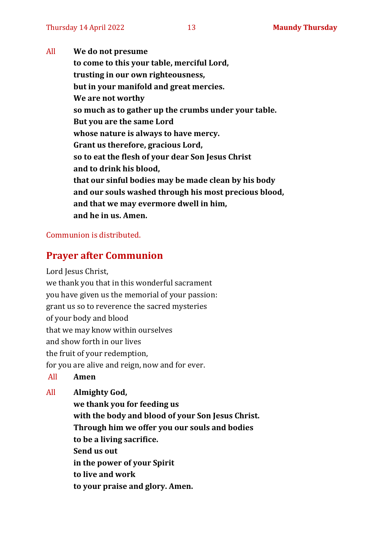All **We do not presume to come to this your table, merciful Lord, trusting in our own righteousness, but in your manifold and great mercies. We are not worthy so much as to gather up the crumbs under your table. But you are the same Lord whose nature is always to have mercy. Grant us therefore, gracious Lord, so to eat the flesh of your dear Son Jesus Christ and to drink his blood, that our sinful bodies may be made clean by his body and our souls washed through his most precious blood, and that we may evermore dwell in him, and he in us. Amen.**

#### Communion is distributed.

#### **Prayer after Communion**

Lord Jesus Christ,

we thank you that in this wonderful sacrament

you have given us the memorial of your passion:

grant us so to reverence the sacred mysteries

of your body and blood

that we may know within ourselves

and show forth in our lives

the fruit of your redemption,

for you are alive and reign, now and for ever.

All **Amen**

All **Almighty God,**

**we thank you for feeding us with the body and blood of your Son Jesus Christ. Through him we offer you our souls and bodies to be a living sacrifice. Send us out in the power of your Spirit to live and work to your praise and glory. Amen.**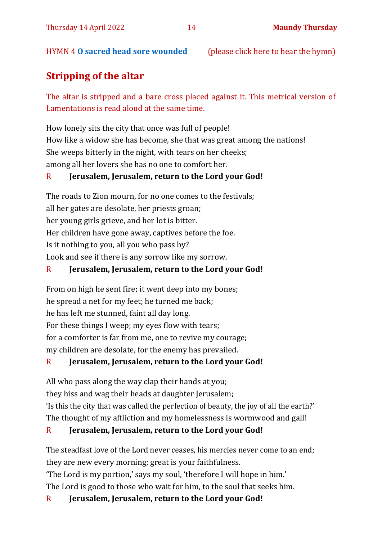HYMN 4 **[O sacred head sore wounded](https://youtu.be/JRjJ9nufa2c)** (please click here to hear the hymn)

### **Stripping of the altar**

The altar is stripped and a bare cross placed against it. This metrical version of Lamentations is read aloud at the same time.

How lonely sits the city that once was full of people! How like a widow she has become, she that was great among the nations! She weeps bitterly in the night, with tears on her cheeks; among all her lovers she has no one to comfort her.

#### R **Jerusalem, Jerusalem, return to the Lord your God!**

The roads to Zion mourn, for no one comes to the festivals; all her gates are desolate, her priests groan; her young girls grieve, and her lot is bitter. Her children have gone away, captives before the foe. Is it nothing to you, all you who pass by? Look and see if there is any sorrow like my sorrow.

#### R **Jerusalem, Jerusalem, return to the Lord your God!**

From on high he sent fire; it went deep into my bones; he spread a net for my feet; he turned me back; he has left me stunned, faint all day long. For these things I weep; my eyes flow with tears; for a comforter is far from me, one to revive my courage; my children are desolate, for the enemy has prevailed.

#### R **Jerusalem, Jerusalem, return to the Lord your God!**

All who pass along the way clap their hands at you;

they hiss and wag their heads at daughter Jerusalem;

'Is this the city that was called the perfection of beauty, the joy of all the earth?' The thought of my affliction and my homelessness is wormwood and gall!

#### R **Jerusalem, Jerusalem, return to the Lord your God!**

The steadfast love of the Lord never ceases, his mercies never come to an end; they are new every morning; great is your faithfulness. 'The Lord is my portion,' says my soul, 'therefore I will hope in him.'

The Lord is good to those who wait for him, to the soul that seeks him.

#### R **Jerusalem, Jerusalem, return to the Lord your God!**